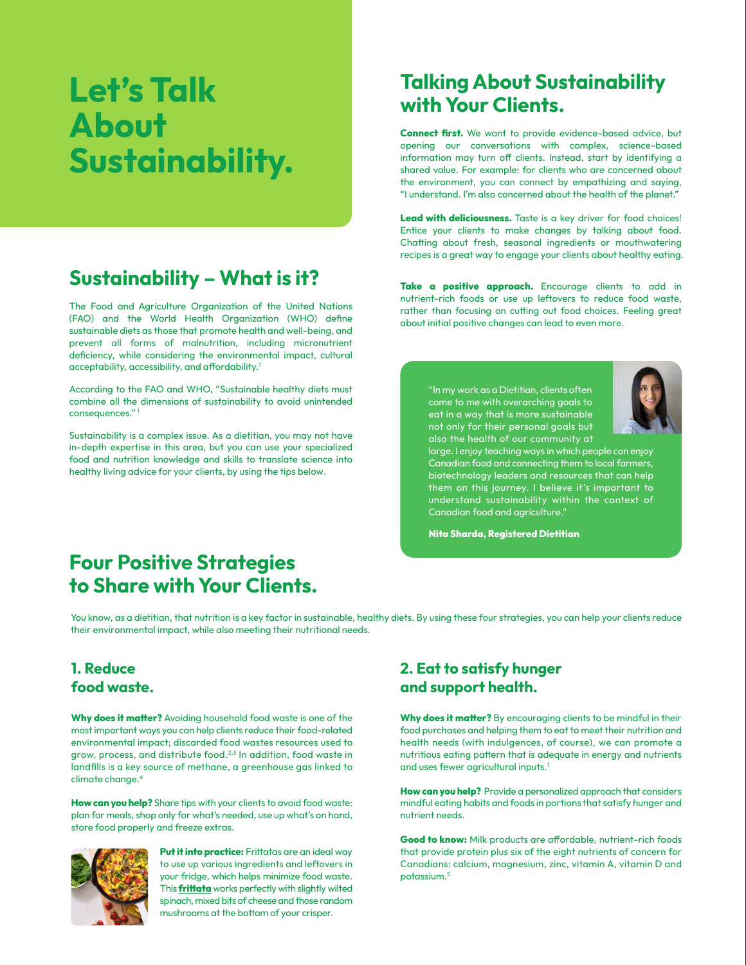# Let's Talk About Sustainability.

# Sustainability – What is it?

The Food and Agriculture Organization of the United Nations (FAO) and the World Health Organization (WHO) define sustainable diets as those that promote health and well-being, and prevent all forms of malnutrition, including micronutrient deficiency, while considering the environmental impact, cultural acceptability, accessibility, and affordability.<sup>1</sup>

According to the FAO and WHO, "Sustainable healthy diets must combine all the dimensions of sustainability to avoid unintended consequences." <sup>1</sup>

Sustainability is a complex issue. As a dietitian, you may not have in-depth expertise in this area, but you can use your specialized food and nutrition knowledge and skills to translate science into healthy living advice for your clients, by using the tips below.

## Talking About Sustainability with Your Clients.

Connect first. We want to provide evidence-based advice, but opening our conversations with complex, science-based information may turn off clients. Instead, start by identifying a shared value. For example: for clients who are concerned about the environment, you can connect by empathizing and saying, "I understand. I'm also concerned about the health of the planet."

Lead with deliciousness. Taste is a key driver for food choices! Entice your clients to make changes by talking about food. Chatting about fresh, seasonal ingredients or mouthwatering recipes is a great way to engage your clients about healthy eating.

Take a positive approach. Encourage clients to add in nutrient-rich foods or use up leftovers to reduce food waste, rather than focusing on cutting out food choices. Feeling great about initial positive changes can lead to even more.

"In my work as a Dietitian, clients often come to me with overarching goals to eat in a way that is more sustainable not only for their personal goals but also the health of our community at



large. I enjoy teaching ways in which people can enjoy Canadian food and connecting them to local farmers, biotechnology leaders and resources that can help them on this journey. I believe it's important to understand sustainability within the context of Canadian food and agriculture."

Nita Sharda, Registered Dietitian

## Four Positive Strategies to Share with Your Clients.

You know, as a dietitian, that nutrition is a key factor in sustainable, healthy diets. By using these four strategies, you can help your clients reduce their environmental impact, while also meeting their nutritional needs.

#### 1. Reduce food waste.

Why does it matter? Avoiding household food waste is one of the most important ways you can help clients reduce their food-related environmental impact; discarded food wastes resources used to grow, process, and distribute food.2,3 In addition, food waste in landfills is a key source of methane, a greenhouse gas linked to climate change.4

How can you help? Share tips with your clients to avoid food waste: plan for meals, shop only for what's needed, use up what's on hand, store food properly and freeze extras.



Put it into practice: Frittatas are an ideal way to use up various ingredients and leftovers in your fridge, which helps minimize food waste. This **[frittata](https://dairynutrition.ca/en/educational-resources/nutrition-month-2022-recipe-healthier-tomorrow-frittata)** works perfectly with slightly wilted spinach, mixed bits of cheese and those random mushrooms at the bottom of your crisper.

## 2. Eat to satisfy hunger and support health.

Why does it matter? By encouraging clients to be mindful in their food purchases and helping them to eat to meet their nutrition and health needs (with indulgences, of course), we can promote a nutritious eating pattern that is adequate in energy and nutrients and uses fewer agricultural inputs.<sup>1</sup>

How can you help? Provide a personalized approach that considers mindful eating habits and foods in portions that satisfy hunger and nutrient needs.

Good to know: Milk products are affordable, nutrient-rich foods that provide protein plus six of the eight nutrients of concern for Canadians: calcium, magnesium, zinc, vitamin A, vitamin D and potassium.<sup>5</sup>